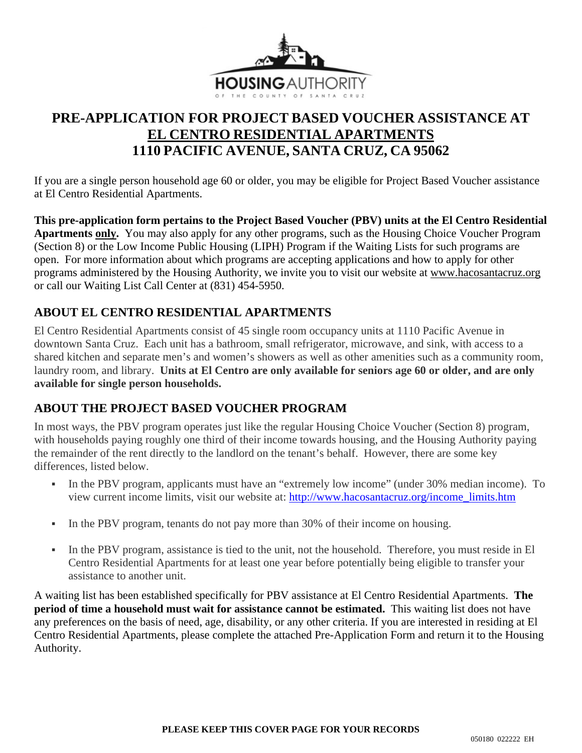

# **PRE-APPLICATION FOR PROJECT BASED VOUCHER ASSISTANCE AT EL CENTRO RESIDENTIAL APARTMENTS 1110 PACIFIC AVENUE, SANTA CRUZ, CA 95062**

If you are a single person household age 60 or older, you may be eligible for Project Based Voucher assistance at El Centro Residential Apartments.

**This pre-application form pertains to the Project Based Voucher (PBV) units at the El Centro Residential Apartments only.** You may also apply for any other programs, such as the Housing Choice Voucher Program (Section 8) or the Low Income Public Housing (LIPH) Program if the Waiting Lists for such programs are open. For more information about which programs are accepting applications and how to apply for other programs administered by the Housing Authority, we invite you to visit our website at [www.hacosantacruz.org](http://www.hacosantacruz.org/) or call our Waiting List Call Center at (831) 454-5950.

### **ABOUT EL CENTRO RESIDENTIAL APARTMENTS**

El Centro Residential Apartments consist of 45 single room occupancy units at 1110 Pacific Avenue in downtown Santa Cruz. Each unit has a bathroom, small refrigerator, microwave, and sink, with access to a shared kitchen and separate men's and women's showers as well as other amenities such as a community room, laundry room, and library. **Units at El Centro are only available for seniors age 60 or older, and are only available for single person households.**

### **ABOUT THE PROJECT BASED VOUCHER PROGRAM**

In most ways, the PBV program operates just like the regular Housing Choice Voucher (Section 8) program, with households paying roughly one third of their income towards housing, and the Housing Authority paying the remainder of the rent directly to the landlord on the tenant's behalf. However, there are some key differences, listed below.

- In the PBV program, applicants must have an "extremely low income" (under 30% median income). To view current income limits, visit our website at: [http://www.hacosantacruz.org/income\\_limits.htm](http://www.hacosantacruz.org/income_limits.htm)
- In the PBV program, tenants do not pay more than 30% of their income on housing.
- In the PBV program, assistance is tied to the unit, not the household. Therefore, you must reside in El Centro Residential Apartments for at least one year before potentially being eligible to transfer your assistance to another unit.

A waiting list has been established specifically for PBV assistance at El Centro Residential Apartments. **The period of time a household must wait for assistance cannot be estimated.** This waiting list does not have any preferences on the basis of need, age, disability, or any other criteria. If you are interested in residing at El Centro Residential Apartments, please complete the attached Pre-Application Form and return it to the Housing Authority.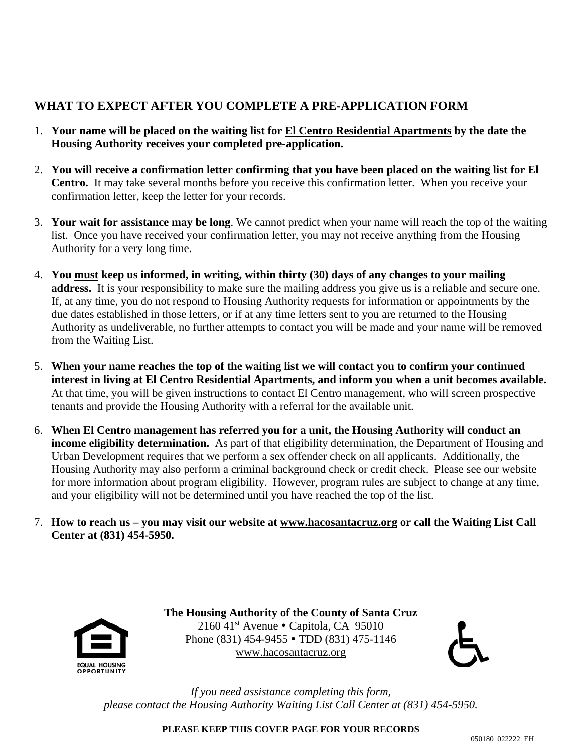### **WHAT TO EXPECT AFTER YOU COMPLETE A PRE-APPLICATION FORM**

- 1. **Your name will be placed on the waiting list for El Centro Residential Apartments by the date the Housing Authority receives your completed pre-application.**
- 2. **You will receive a confirmation letter confirming that you have been placed on the waiting list for El Centro.** It may take several months before you receive this confirmation letter. When you receive your confirmation letter, keep the letter for your records.
- 3. **Your wait for assistance may be long**. We cannot predict when your name will reach the top of the waiting list. Once you have received your confirmation letter, you may not receive anything from the Housing Authority for a very long time.
- 4. **You must keep us informed, in writing, within thirty (30) days of any changes to your mailing address.** It is your responsibility to make sure the mailing address you give us is a reliable and secure one. If, at any time, you do not respond to Housing Authority requests for information or appointments by the due dates established in those letters, or if at any time letters sent to you are returned to the Housing Authority as undeliverable, no further attempts to contact you will be made and your name will be removed from the Waiting List.
- 5. **When your name reaches the top of the waiting list we will contact you to confirm your continued interest in living at El Centro Residential Apartments, and inform you when a unit becomes available.**  At that time, you will be given instructions to contact El Centro management, who will screen prospective tenants and provide the Housing Authority with a referral for the available unit.
- 6. **When El Centro management has referred you for a unit, the Housing Authority will conduct an income eligibility determination.** As part of that eligibility determination, the Department of Housing and Urban Development requires that we perform a sex offender check on all applicants. Additionally, the Housing Authority may also perform a criminal background check or credit check. Please see our website for more information about program eligibility. However, program rules are subject to change at any time, and your eligibility will not be determined until you have reached the top of the list.
- 7. **How to reach us – you may visit our website at [www.hacosantacruz.org](http://www.hacosantacruz.org/) or call the Waiting List Call Center at (831) 454-5950.**



**The Housing Authority of the County of Santa Cruz** 2160 41st Avenue  $\bullet$  Capitola, CA 95010 Phone (831) 454-9455 • TDD (831) 475-1146 [www.hacosantacruz.org](http://www.hacosantacruz.org/)



*If you need assistance completing this form, please contact the Housing Authority Waiting List Call Center at (831) 454-5950.*

**PLEASE KEEP THIS COVER PAGE FOR YOUR RECORDS**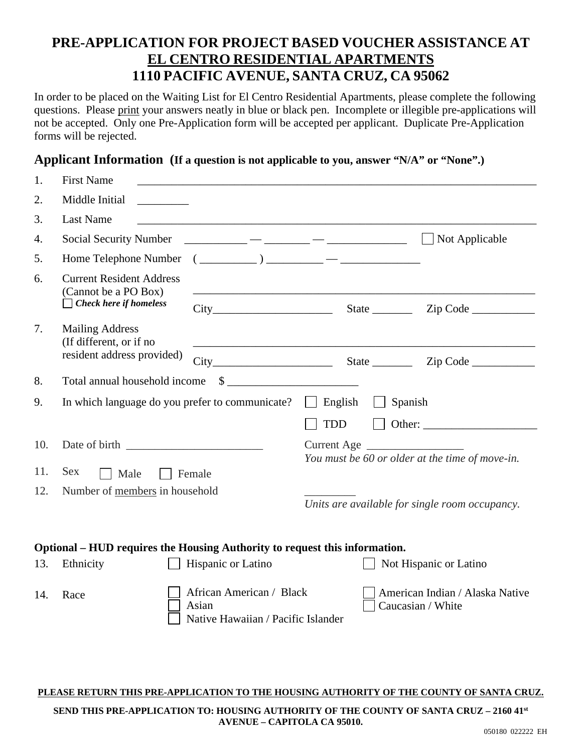# **PRE-APPLICATION FOR PROJECT BASED VOUCHER ASSISTANCE AT EL CENTRO RESIDENTIAL APARTMENTS 1110 PACIFIC AVENUE, SANTA CRUZ, CA 95062**

In order to be placed on the Waiting List for El Centro Residential Apartments, please complete the following questions. Please print your answers neatly in blue or black pen. Incomplete or illegible pre-applications will not be accepted. Only one Pre-Application form will be accepted per applicant. Duplicate Pre-Application forms will be rejected.

### **Applicant Information (If a question is not applicable to you, answer "N/A" or "None".)**

| 1.  | <b>First Name</b>                                                                                                                       |                    |                                                 |                        |  |
|-----|-----------------------------------------------------------------------------------------------------------------------------------------|--------------------|-------------------------------------------------|------------------------|--|
| 2.  | Middle Initial                                                                                                                          |                    |                                                 |                        |  |
| 3.  | <b>Last Name</b>                                                                                                                        |                    |                                                 |                        |  |
| 4.  | <b>Social Security Number</b>                                                                                                           |                    |                                                 | Not Applicable         |  |
| 5.  | Home Telephone Number                                                                                                                   |                    | $\begin{array}{c} \hline \end{array}$           |                        |  |
| 6.  | <b>Current Resident Address</b><br>(Cannot be a PO Box)                                                                                 |                    |                                                 |                        |  |
|     | $\Box$ Check here if homeless                                                                                                           | City               |                                                 |                        |  |
| 7.  | <b>Mailing Address</b><br>(If different, or if no                                                                                       |                    |                                                 |                        |  |
|     | resident address provided)                                                                                                              |                    |                                                 |                        |  |
| 8.  | $\begin{tabular}{c} $ \small{ $ \mathbb{S} $} \end{tabular}$<br>Total annual household income                                           |                    |                                                 |                        |  |
| 9.  | Spanish<br>In which language do you prefer to communicate?<br>English                                                                   |                    |                                                 |                        |  |
|     |                                                                                                                                         |                    | <b>TDD</b>                                      |                        |  |
| 10. |                                                                                                                                         |                    | You must be 60 or older at the time of move-in. |                        |  |
| 11. | Sex<br>Male<br>Female                                                                                                                   |                    |                                                 |                        |  |
| 12. | Number of members in household                                                                                                          |                    | Units are available for single room occupancy.  |                        |  |
|     | Optional – HUD requires the Housing Authority to request this information.                                                              |                    |                                                 |                        |  |
| 13. | Ethnicity                                                                                                                               | Hispanic or Latino |                                                 | Not Hispanic or Latino |  |
| 14. | African American / Black<br>American Indian / Alaska Native<br>Race<br>Asian<br>Caucasian / White<br>Native Hawaiian / Pacific Islander |                    |                                                 |                        |  |

#### **PLEASE RETURN THIS PRE-APPLICATION TO THE HOUSING AUTHORITY OF THE COUNTY OF SANTA CRUZ.**

**SEND THIS PRE-APPLICATION TO: HOUSING AUTHORITY OF THE COUNTY OF SANTA CRUZ – 2160 41st AVENUE – CAPITOLA CA 95010.**